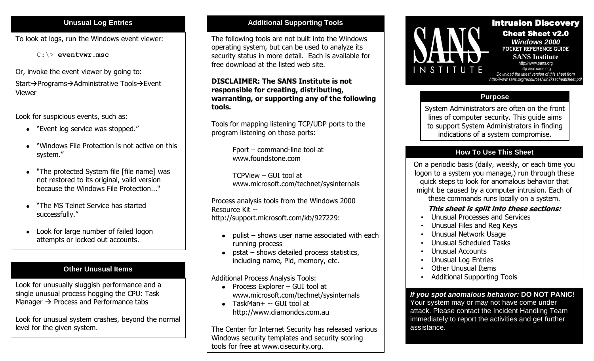To look at logs, run the Windows event viewer:

C:\> **eventvwr.msc**

Or, invoke the event viewer by going to: Start->Programs->Administrative Tools->Event Viewer

Look for suspicious events, such as:

- "Event log service was stopped."
- "Windows File Protection is not active on this system."
- "The protected System file [file name] was  $\bullet$ not restored to its original, valid version because the Windows File Protection..."
- "The MS Telnet Service has started successfully."
- Look for large number of failed logon  $\bullet$ attempts or locked out accounts.

# **Other Unusual Items**

Look for unusually sluggish performance and a single unusual process hogging the CPU: Task Manager  $\rightarrow$  Process and Performance tabs

Look for unusual system crashes, beyond the normal level for the given system.

## **Unusual Log Entries <b>Additional Supporting Tools**

The following tools are not built into the Windows operating system, but can be used to analyze its security status in more detail. Each is available for free download at the listed web site.

**DISCLAIMER: The SANS Institute is not responsible for creating, distributing, warranting, or supporting any of the following tools.**

Tools for mapping listening TCP/UDP ports to the program listening on those ports:

> Fport – command-line tool at www.foundstone.com

TCPView – GUI tool at www.microsoft.com/technet/sysinternals

Process analysis tools from the Windows 2000 Resource Kit - http://support.microsoft.com/kb/927229:

- $\bullet$  pulist shows user name associated with each running process
- pstat shows detailed process statistics, including name, Pid, memory, etc.

Additional Process Analysis Tools:

- Process Explorer GUI tool at www.microsoft.com/technet/sysinternals
- TaskMan+ -- GUI tool at http://www.diamondcs.com.au

The Center for Internet Security has released various Windows security templates and security scoring tools for free at www.cisecurity.org.



í Intrusion Discovery Cheat Sheet v2.0 *Windows 2000* **POCKET REFERENCE GUIDE** 

**SANS Institute** http:[//www.sans.org](http://www.sans.org/) http://isc.sans.org *Download the latest version of this sheet from http://www.sans.org/resources/win2ksacheatsheet.pdf*

## **Purpose**

System Administrators are often on the front lines of computer security. This guide aims to support System Administrators in finding indications of a system compromise.

# **How To Use This Sheet**

On a periodic basis (daily, weekly, or each time you logon to a system you manage,) run through these quick steps to look for anomalous behavior that might be caused by a computer intrusion. Each of these commands runs locally on a system.

## **This sheet is split into these sections:**

- Unusual Processes and Services
- Unusual Files and Reg Keys
- Unusual Network Usage
- Unusual Scheduled Tasks
- Unusual Accounts
- Unusual Log Entries
- Other Unusual Items
- Additional Supporting Tools

*If you spot anomalous behavior:* **DO NOT PANIC!** Your system may or may not have come under attack. Please contact the Incident Handling Team immediately to report the activities and get further assistance.